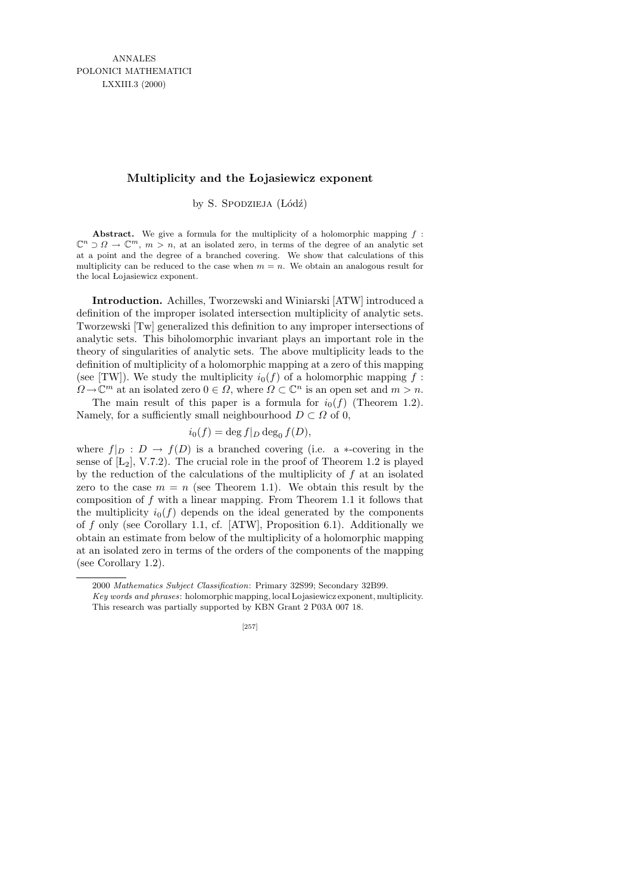## **Multiplicity and the Lojasiewicz exponent**

by S. SPODZIEJA (Łódź)

**Abstract.** We give a formula for the multiplicity of a holomorphic mapping *f* :  $\mathbb{C}^n \supset \Omega \to \mathbb{C}^m$ ,  $m > n$ , at an isolated zero, in terms of the degree of an analytic set at a point and the degree of a branched covering. We show that calculations of this multiplicity can be reduced to the case when  $m = n$ . We obtain an analogous result for the local Lojasiewicz exponent.

Introduction. Achilles, Tworzewski and Winiarski [ATW] introduced a definition of the improper isolated intersection multiplicity of analytic sets. Tworzewski [Tw] generalized this definition to any improper intersections of analytic sets. This biholomorphic invariant plays an important role in the theory of singularities of analytic sets. The above multiplicity leads to the definition of multiplicity of a holomorphic mapping at a zero of this mapping (see [TW]). We study the multiplicity  $i_0(f)$  of a holomorphic mapping f:  $\Omega \to \mathbb{C}^m$  at an isolated zero  $0 \in \Omega$ , where  $\Omega \subset \mathbb{C}^n$  is an open set and  $m > n$ .

The main result of this paper is a formula for  $i_0(f)$  (Theorem 1.2). Namely, for a sufficiently small neighbourhood  $D \subset \Omega$  of 0,

$$
i_0(f) = \deg f|_D \deg_0 f(D),
$$

where  $f|_D : D \to f(D)$  is a branched covering (i.e. a \*-covering in the sense of  $[L_2]$ , V.7.2). The crucial role in the proof of Theorem 1.2 is played by the reduction of the calculations of the multiplicity of  $f$  at an isolated zero to the case  $m = n$  (see Theorem 1.1). We obtain this result by the composition of  $f$  with a linear mapping. From Theorem 1.1 it follows that the multiplicity  $i_0(f)$  depends on the ideal generated by the components of  $f$  only (see Corollary 1.1, cf. [ATW], Proposition 6.1). Additionally we obtain an estimate from below of the multiplicity of a holomorphic mapping at an isolated zero in terms of the orders of the components of the mapping (see Corollary 1.2).

[257]

<sup>2000</sup> *Mathematics Subject Classification*: Primary 32S99; Secondary 32B99.

*Key words and phrases*: holomorphic mapping, local Lojasiewicz exponent, multiplicity. This research was partially supported by KBN Grant 2 P03A 007 18.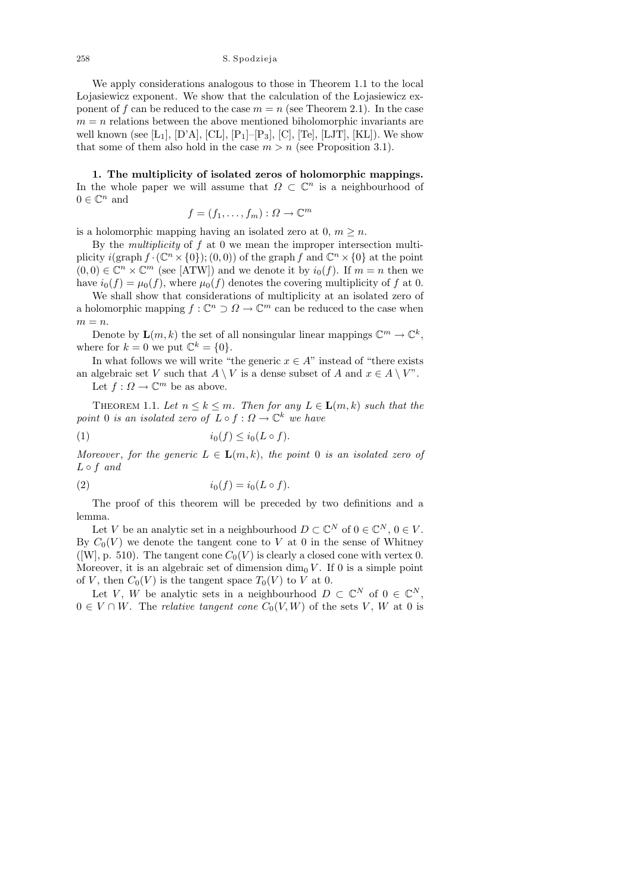We apply considerations analogous to those in Theorem 1.1 to the local Lojasiewicz exponent. We show that the calculation of the Lojasiewicz exponent of f can be reduced to the case  $m = n$  (see Theorem 2.1). In the case  $m = n$  relations between the above mentioned biholomorphic invariants are well known (see [L<sub>1</sub>], [D'A], [CL], [P<sub>1</sub>]–[P<sub>3</sub>], [C], [Te], [LJT], [KL]). We show that some of them also hold in the case  $m > n$  (see Proposition 3.1).

1. The multiplicity of isolated zeros of holomorphic mappings. In the whole paper we will assume that  $\Omega \subset \mathbb{C}^n$  is a neighbourhood of  $0 \in \mathbb{C}^n$  and

$$
f = (f_1, \ldots, f_m) : \Omega \to \mathbb{C}^m
$$

is a holomorphic mapping having an isolated zero at 0,  $m \geq n$ .

By the *multiplicity* of  $f$  at  $\theta$  we mean the improper intersection multiplicity  $i(\text{graph } f \cdot (\mathbb{C}^n \times \{0\});(0,0))$  of the graph f and  $\mathbb{C}^n \times \{0\}$  at the point  $(0,0) \in \mathbb{C}^n \times \mathbb{C}^m$  (see [ATW]) and we denote it by  $i_0(f)$ . If  $m = n$  then we have  $i_0(f) = \mu_0(f)$ , where  $\mu_0(f)$  denotes the covering multiplicity of f at 0.

We shall show that considerations of multiplicity at an isolated zero of a holomorphic mapping  $f: \mathbb{C}^n \supset \Omega \to \mathbb{C}^m$  can be reduced to the case when  $m = n$ .

Denote by  $\mathbf{L}(m,k)$  the set of all nonsingular linear mappings  $\mathbb{C}^m \to \mathbb{C}^k$ , where for  $k = 0$  we put  $\mathbb{C}^k = \{0\}.$ 

In what follows we will write "the generic  $x \in A$ " instead of "there exists" an algebraic set V such that  $A \setminus V$  is a dense subset of A and  $x \in A \setminus V$ ". Let  $f: \Omega \to \mathbb{C}^m$  be as above.

THEOREM 1.1. Let  $n \leq k \leq m$ . Then for any  $L \in \mathbf{L}(m, k)$  such that the point 0 is an isolated zero of  $L \circ f : \Omega \to \mathbb{C}^k$  we have

$$
(1) \t\t\t i_0(f) \leq i_0(L \circ f).
$$

Moreover, for the generic  $L \in \mathbf{L}(m,k)$ , the point 0 is an isolated zero of  $L \circ f$  and

$$
(2) \t\t\t i_0(f) = i_0(L \circ f).
$$

The proof of this theorem will be preceded by two definitions and a lemma.

Let V be an analytic set in a neighbourhood  $D \subset \mathbb{C}^N$  of  $0 \in \mathbb{C}^N$ ,  $0 \in V$ . By  $C_0(V)$  we denote the tangent cone to V at 0 in the sense of Whitney ([W], p. 510). The tangent cone  $C_0(V)$  is clearly a closed cone with vertex 0. Moreover, it is an algebraic set of dimension  $\dim_0 V$ . If 0 is a simple point of V, then  $C_0(V)$  is the tangent space  $T_0(V)$  to V at 0.

Let V, W be analytic sets in a neighbourhood  $D \subset \mathbb{C}^N$  of  $0 \in \mathbb{C}^N$ ,  $0 \in V \cap W$ . The *relative tangent cone*  $C_0(V, W)$  of the sets V, W at 0 is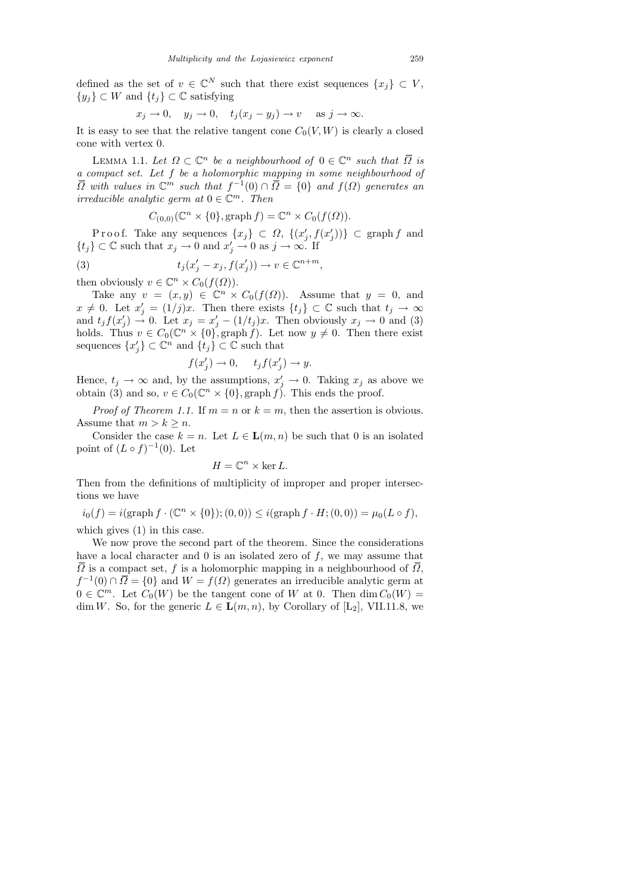defined as the set of  $v \in \mathbb{C}^N$  such that there exist sequences  $\{x_j\} \subset V$ ,  $\{y_i\} \subset W$  and  $\{t_i\} \subset \mathbb{C}$  satisfying

$$
x_j \to 0
$$
,  $y_j \to 0$ ,  $t_j(x_j - y_j) \to v$  as  $j \to \infty$ .

It is easy to see that the relative tangent cone  $C_0(V, W)$  is clearly a closed cone with vertex 0.

LEMMA 1.1. Let  $\Omega \subset \mathbb{C}^n$  be a neighbourhood of  $0 \in \mathbb{C}^n$  such that  $\overline{\Omega}$  is a compact set. Let f be a holomorphic mapping in some neighbourhood of  $\overline{\Omega}$  with values in  $\mathbb{C}^m$  such that  $f^{-1}(0) \cap \overline{\Omega} = \{0\}$  and  $f(\Omega)$  generates an irreducible analytic germ at  $0 \in \mathbb{C}^m$ . Then

$$
C_{(0,0)}(\mathbb{C}^n \times \{0\}, \text{graph } f) = \mathbb{C}^n \times C_0(f(\Omega)).
$$

Proof. Take any sequences  $\{x_j\} \subset \Omega$ ,  $\{(x'_j, f(x'_j))\} \subset \text{graph } f$  and  $\{t_j\} \subset \mathbb{C}$  such that  $x_j \to 0$  and  $x'_j \to 0$  as  $j \to \infty$ . If

(3) 
$$
t_j(x'_j - x_j, f(x'_j)) \to v \in \mathbb{C}^{n+m}
$$

then obviously  $v \in \mathbb{C}^n \times C_0(f(\Omega)).$ 

Take any  $v = (x, y) \in \mathbb{C}^n \times C_0(f(\Omega))$ . Assume that  $y = 0$ , and  $x \neq 0$ . Let  $x'_j = (1/j)x$ . Then there exists  $\{t_j\} \subset \mathbb{C}$  such that  $t_j \to \infty$ and  $t_j f(x'_j) \to 0$ . Let  $x_j = x'_j - (1/t_j)x$ . Then obviously  $x_j \to 0$  and (3) holds. Thus  $v \in C_0(\mathbb{C}^n \times \{0\}, \text{graph } f)$ . Let now  $y \neq 0$ . Then there exist sequences  $\{x'_j\} \subset \mathbb{C}^n$  and  $\{t_j\} \subset \mathbb{C}$  such that

$$
f(x_j') \to 0, \quad t_j f(x_j') \to y.
$$

Hence,  $t_j \to \infty$  and, by the assumptions,  $x'_j \to 0$ . Taking  $x_j$  as above we obtain (3) and so,  $v \in C_0(\mathbb{C}^n \times \{0\}, \text{graph } f)$ . This ends the proof.

*Proof of Theorem 1.1.* If  $m = n$  or  $k = m$ , then the assertion is obvious. Assume that  $m > k \geq n$ .

Consider the case  $k = n$ . Let  $L \in L(m, n)$  be such that 0 is an isolated point of  $(L \circ f)^{-1}(0)$ . Let

$$
H = \mathbb{C}^n \times \ker L.
$$

Then from the definitions of multiplicity of improper and proper intersections we have

 $i_0(f) = i(\text{graph } f \cdot (\mathbb{C}^n \times \{0\}); (0,0)) \leq i(\text{graph } f \cdot H; (0,0)) = \mu_0(L \circ f),$ which gives (1) in this case.

We now prove the second part of the theorem. Since the considerations have a local character and  $\theta$  is an isolated zero of  $f$ , we may assume that  $\overline{\Omega}$  is a compact set, f is a holomorphic mapping in a neighbourhood of  $\overline{\Omega}$ ,  $f^{-1}(0) \cap \overline{\Omega} = \{0\}$  and  $W = f(\Omega)$  generates an irreducible analytic germ at  $0 \in \mathbb{C}^m$ . Let  $C_0(W)$  be the tangent cone of W at 0. Then  $\dim C_0(W) =$ dim W. So, for the generic  $L \in \mathbf{L}(m, n)$ , by Corollary of  $[L_2]$ , VII.11.8, we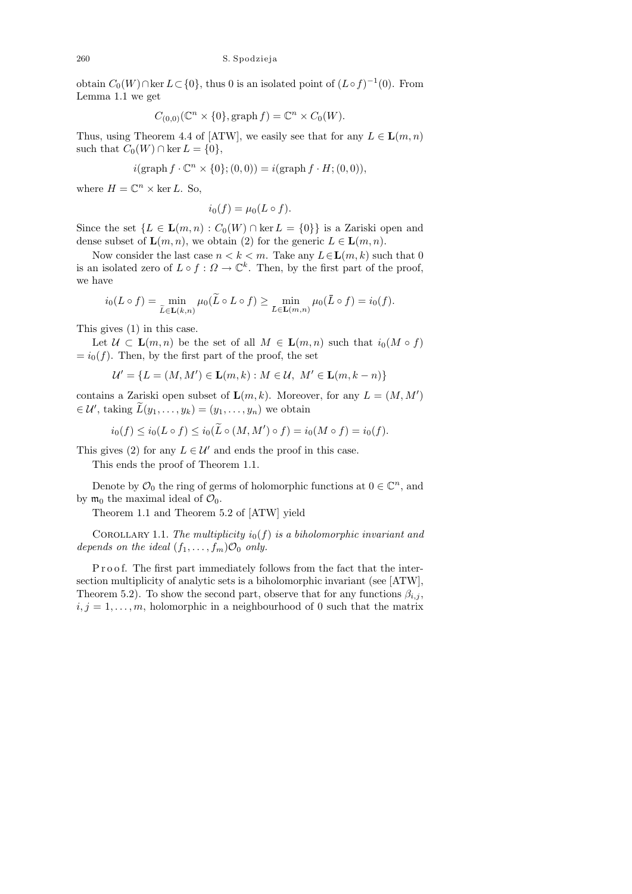obtain  $C_0(W) \cap \ker L \subset \{0\}$ , thus 0 is an isolated point of  $(L \circ f)^{-1}(0)$ . From Lemma 1.1 we get

$$
C_{(0,0)}(\mathbb{C}^n \times \{0\}, \mathrm{graph}\,f) = \mathbb{C}^n \times C_0(W).
$$

Thus, using Theorem 4.4 of [ATW], we easily see that for any  $L \in \mathbf{L}(m, n)$ such that  $C_0(W) \cap \ker L = \{0\},\$ 

$$
i(\operatorname{graph} f \cdot \mathbb{C}^n \times \{0\}; (0,0)) = i(\operatorname{graph} f \cdot H; (0,0)),
$$

where  $H = \mathbb{C}^n \times \ker L$ . So,

$$
i_0(f) = \mu_0(L \circ f).
$$

Since the set  $\{L \in \mathbf{L}(m,n) : C_0(W) \cap \ker L = \{0\}\}\$ is a Zariski open and dense subset of  $\mathbf{L}(m, n)$ , we obtain (2) for the generic  $L \in \mathbf{L}(m, n)$ .

Now consider the last case  $n < k < m$ . Take any  $L \in \mathbf{L}(m, k)$  such that 0 is an isolated zero of  $L \circ f : \Omega \to \mathbb{C}^k$ . Then, by the first part of the proof, we have

$$
i_0(L \circ f) = \min_{\widetilde{L} \in \mathbf{L}(k,n)} \mu_0(\widetilde{L} \circ L \circ f) \ge \min_{\bar{L} \in \mathbf{L}(m,n)} \mu_0(\bar{L} \circ f) = i_0(f).
$$

This gives (1) in this case.

Let  $U \subset \mathbf{L}(m,n)$  be the set of all  $M \in \mathbf{L}(m,n)$  such that  $i_0(M \circ f)$  $= i_0(f)$ . Then, by the first part of the proof, the set

$$
\mathcal{U}' = \{ L = (M, M') \in \mathbf{L}(m, k) : M \in \mathcal{U}, M' \in \mathbf{L}(m, k - n) \}
$$

contains a Zariski open subset of  $\mathbf{L}(m,k)$ . Moreover, for any  $L = (M, M')$  $\in \mathcal{U}'$ , taking  $\widetilde{L}(y_1,\ldots,y_k)=(y_1,\ldots,y_n)$  we obtain

$$
i_0(f) \leq i_0(L \circ f) \leq i_0(\widetilde{L} \circ (M, M') \circ f) = i_0(M \circ f) = i_0(f).
$$

This gives (2) for any  $L \in \mathcal{U}'$  and ends the proof in this case.

This ends the proof of Theorem 1.1.

Denote by  $\mathcal{O}_0$  the ring of germs of holomorphic functions at  $0 \in \mathbb{C}^n$ , and by  $\mathfrak{m}_0$  the maximal ideal of  $\mathcal{O}_0$ .

Theorem 1.1 and Theorem 5.2 of [ATW] yield

COROLLARY 1.1. The multiplicity  $i_0(f)$  is a biholomorphic invariant and depends on the ideal  $(f_1, \ldots, f_m) \mathcal{O}_0$  only.

Proof. The first part immediately follows from the fact that the intersection multiplicity of analytic sets is a biholomorphic invariant (see [ATW], Theorem 5.2). To show the second part, observe that for any functions  $\beta_{i,j}$ ,  $i, j = 1, \ldots, m$ , holomorphic in a neighbourhood of 0 such that the matrix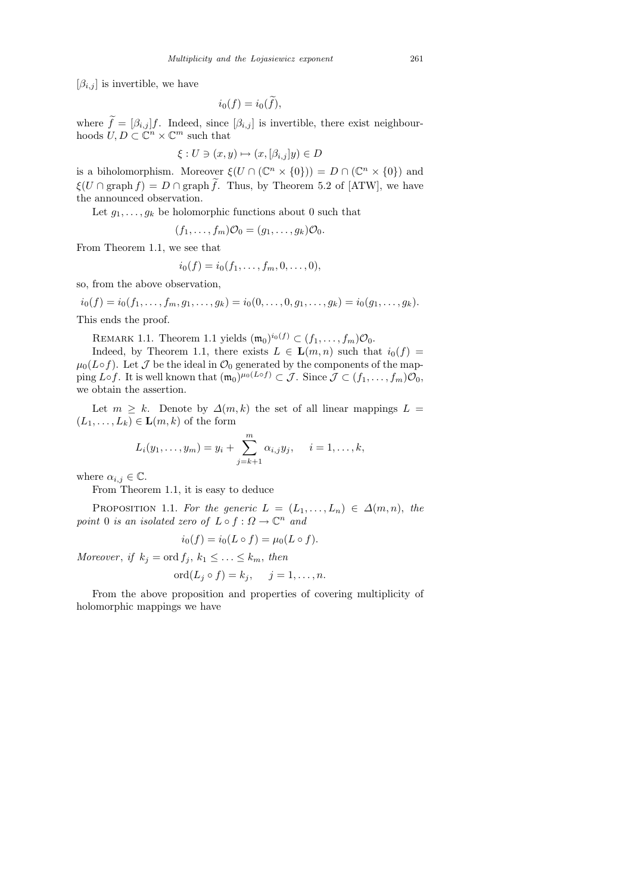$[\beta_{i,j}]$  is invertible, we have

$$
i_0(f) = i_0(\widetilde{f}),
$$

where  $f = [\beta_{i,j}]f$ . Indeed, since  $[\beta_{i,j}]$  is invertible, there exist neighbourhoods  $U, D \subset \mathbb{C}^n \times \mathbb{C}^m$  such that

$$
\xi: U \ni (x, y) \mapsto (x, [\beta_{i,j}]y) \in D
$$

is a biholomorphism. Moreover  $\xi(U \cap (\mathbb{C}^n \times \{0\})) = D \cap (\mathbb{C}^n \times \{0\})$  and  $\xi(U \cap \text{graph } f) = D \cap \text{graph } f$ . Thus, by Theorem 5.2 of [ATW], we have the announced observation.

Let  $g_1, \ldots, g_k$  be holomorphic functions about 0 such that

$$
(f_1,\ldots,f_m)\mathcal{O}_0=(g_1,\ldots,g_k)\mathcal{O}_0.
$$

From Theorem 1.1, we see that

$$
i_0(f) = i_0(f_1, \ldots, f_m, 0, \ldots, 0),
$$

so, from the above observation,

$$
i_0(f) = i_0(f_1, \dots, f_m, g_1, \dots, g_k) = i_0(0, \dots, 0, g_1, \dots, g_k) = i_0(g_1, \dots, g_k).
$$

This ends the proof.

REMARK 1.1. Theorem 1.1 yields  $(\mathfrak{m}_0)^{i_0(f)} \subset (f_1,\ldots,f_m)\mathcal{O}_0$ .

Indeed, by Theorem 1.1, there exists  $L \in \mathbf{L}(m,n)$  such that  $i_0(f) =$  $\mu_0(L \circ f)$ . Let  $\mathcal J$  be the ideal in  $\mathcal O_0$  generated by the components of the mapping L∘f. It is well known that  $(\mathfrak{m}_0)^{\mu_0(L\circ f)} \subset \mathcal{J}$ . Since  $\mathcal{J} \subset (f_1,\ldots,f_m)\mathcal{O}_0$ , we obtain the assertion.

Let  $m \geq k$ . Denote by  $\Delta(m, k)$  the set of all linear mappings  $L =$  $(L_1, \ldots, L_k) \in \mathbf{L}(m, k)$  of the form

$$
L_i(y_1,..., y_m) = y_i + \sum_{j=k+1}^m \alpha_{i,j} y_j, \quad i = 1,..., k,
$$

where  $\alpha_{i,j} \in \mathbb{C}$ .

From Theorem 1.1, it is easy to deduce

PROPOSITION 1.1. For the generic  $L = (L_1, \ldots, L_n) \in \Delta(m, n)$ , the point 0 is an isolated zero of  $L \circ f : \Omega \to \mathbb{C}^n$  and

$$
i_0(f) = i_0(L \circ f) = \mu_0(L \circ f).
$$

Moreover, if  $k_j = \text{ord } f_j, k_1 \leq \ldots \leq k_m$ , then

$$
ord(L_j \circ f) = k_j, \quad j = 1, \dots, n.
$$

From the above proposition and properties of covering multiplicity of holomorphic mappings we have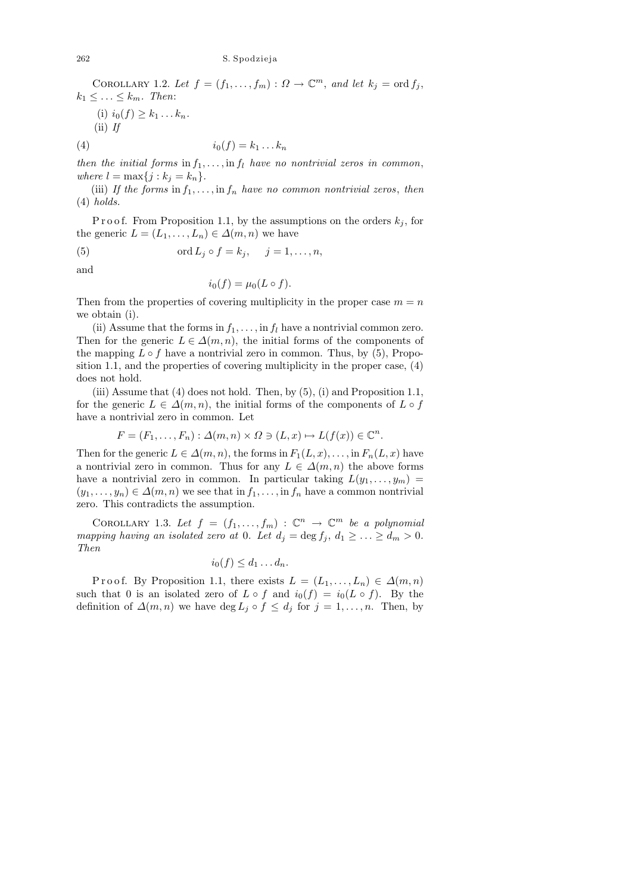COROLLARY 1.2. Let  $f = (f_1, \ldots, f_m) : \Omega \to \mathbb{C}^m$ , and let  $k_j = \text{ord } f_j$ ,  $k_1 \leq \ldots \leq k_m$ . Then:

(i)  $i_0(f) \geq k_1 ... k_n$ .

 $(ii)$  If

$$
(4) \qquad \qquad i_0(f) = k_1 \dots k_n
$$

then the initial forms in  $f_1, \ldots, f_l$  have no nontrivial zeros in common, where  $l = \max\{j : k_j = k_n\}.$ 

(iii) If the forms in  $f_1, \ldots, \text{in } f_n$  have no common nontrivial zeros, then  $(4)$  holds.

P r o o f. From P roposition 1.1, by the assumptions on the orders  $k_j$ , for the generic  $L = (L_1, \ldots, L_n) \in \Delta(m, n)$  we have

(5) 
$$
\operatorname{ord} L_j \circ f = k_j, \quad j = 1, \dots, n,
$$

and

$$
i_0(f) = \mu_0(L \circ f).
$$

Then from the properties of covering multiplicity in the proper case  $m = n$ we obtain (i).

(ii) Assume that the forms in  $f_1, \ldots,$  in  $f_l$  have a nontrivial common zero. Then for the generic  $L \in \Delta(m, n)$ , the initial forms of the components of the mapping  $L \circ f$  have a nontrivial zero in common. Thus, by (5), Proposition 1.1, and the properties of covering multiplicity in the proper case, (4) does not hold.

(iii) Assume that  $(4)$  does not hold. Then, by  $(5)$ ,  $(i)$  and Proposition 1.1, for the generic  $L \in \Delta(m, n)$ , the initial forms of the components of  $L \circ f$ have a nontrivial zero in common. Let

$$
F = (F_1, \dots, F_n) : \Delta(m, n) \times \Omega \ni (L, x) \mapsto L(f(x)) \in \mathbb{C}^n
$$

.

Then for the generic  $L \in \Delta(m, n)$ , the forms in  $F_1(L, x), \ldots$ , in  $F_n(L, x)$  have a nontrivial zero in common. Thus for any  $L \in \Delta(m, n)$  the above forms have a nontrivial zero in common. In particular taking  $L(y_1, \ldots, y_m)$  $(y_1, \ldots, y_n) \in \Delta(m, n)$  we see that in  $f_1, \ldots, f_n$  have a common nontrivial zero. This contradicts the assumption.

COROLLARY 1.3. Let  $f = (f_1, \ldots, f_m) : \mathbb{C}^n \to \mathbb{C}^m$  be a polynomial mapping having an isolated zero at 0. Let  $d_j = \deg f_j, d_1 \geq \ldots \geq d_m > 0$ . Then

$$
i_0(f) \leq d_1 \dots d_n.
$$

P r o o f. By P roposition 1.1, there exists  $L = (L_1, \ldots, L_n) \in \Delta(m, n)$ such that 0 is an isolated zero of  $L \circ f$  and  $i_0(f) = i_0(L \circ f)$ . By the definition of  $\Delta(m, n)$  we have deg  $L_j \circ f \leq d_j$  for  $j = 1, \ldots, n$ . Then, by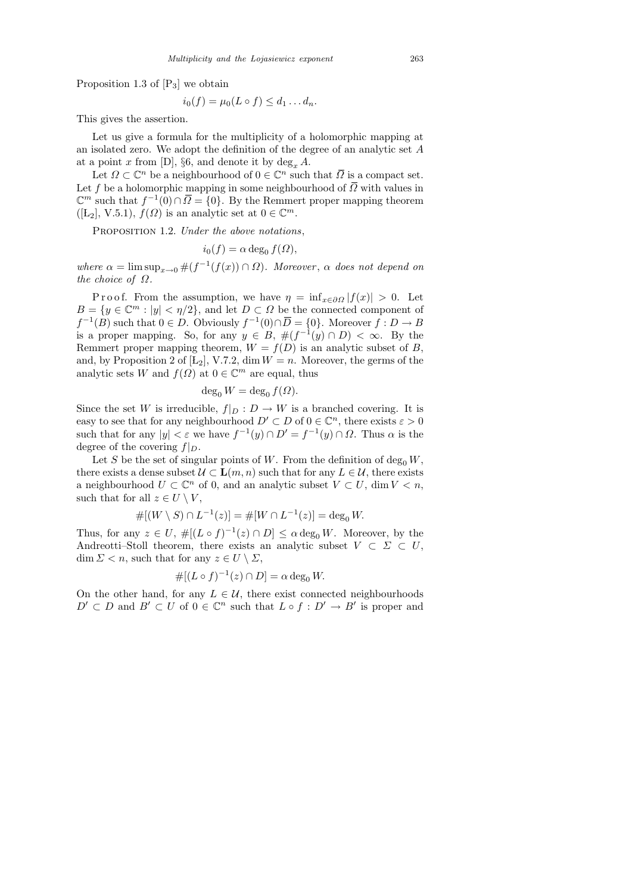Proposition 1.3 of  $[P_3]$  we obtain

$$
i_0(f) = \mu_0(L \circ f) \leq d_1 \dots d_n.
$$

This gives the assertion.

Let us give a formula for the multiplicity of a holomorphic mapping at an isolated zero. We adopt the definition of the degree of an analytic set A at a point x from [D],  $\S6$ , and denote it by  $\deg_x A$ .

Let  $\Omega \subset \mathbb{C}^n$  be a neighbourhood of  $0 \in \mathbb{C}^n$  such that  $\overline{\Omega}$  is a compact set. Let f be a holomorphic mapping in some neighbourhood of  $\overline{Q}$  with values in  $\mathbb{C}^m$  such that  $f^{-1}(0) \cap \overline{\Omega} = \{0\}$ . By the Remmert proper mapping theorem  $([L_2], V.5.1), f(\Omega)$  is an analytic set at  $0 \in \mathbb{C}^m$ .

PROPOSITION 1.2. Under the above notations,

$$
i_0(f) = \alpha \deg_0 f(\Omega),
$$

where  $\alpha = \limsup_{x\to 0} \#(f^{-1}(f(x)) \cap \Omega)$ . Moreover,  $\alpha$  does not depend on the choice of  $\Omega$ .

P r o o f. From the assumption, we have  $\eta = \inf_{x \in \partial \Omega} |f(x)| > 0$ . Let  $B = \{y \in \mathbb{C}^m : |y| < \eta/2\}$ , and let  $D \subset \Omega$  be the connected component of  $f^{-1}(B)$  such that  $0 \in D$ . Obviously  $f^{-1}(0) \cap \overline{D} = \{0\}$ . Moreover  $f : D \to B$ is a proper mapping. So, for any  $y \in B$ ,  $\#(f^{-1}(y) \cap D) < \infty$ . By the Remmert proper mapping theorem,  $W = f(D)$  is an analytic subset of B, and, by Proposition 2 of  $[L_2]$ , V.7.2, dim  $W = n$ . Moreover, the germs of the analytic sets W and  $f(\Omega)$  at  $0 \in \mathbb{C}^m$  are equal, thus

$$
\deg_0 W = \deg_0 f(\Omega).
$$

Since the set W is irreducible,  $f|_D : D \to W$  is a branched covering. It is easy to see that for any neighbourhood  $D' \subset D$  of  $0 \in \mathbb{C}^n$ , there exists  $\varepsilon > 0$ such that for any  $|y| < \varepsilon$  we have  $f^{-1}(y) \cap D' = f^{-1}(y) \cap \Omega$ . Thus  $\alpha$  is the degree of the covering  $f|_D$ .

Let S be the set of singular points of W. From the definition of  $\deg_0 W$ , there exists a dense subset  $\mathcal{U} \subset \mathbf{L}(m, n)$  such that for any  $L \in \mathcal{U}$ , there exists a neighbourhood  $U \subset \mathbb{C}^n$  of 0, and an analytic subset  $V \subset U$ , dim  $V \subset n$ , such that for all  $z \in U \setminus V$ ,

$$
\#[(W\setminus S)\cap L^{-1}(z)]=\#[W\cap L^{-1}(z)]=\deg_0 W.
$$

Thus, for any  $z \in U$ ,  $\#[(L \circ f)^{-1}(z) \cap D] \leq \alpha \deg_0 W$ . Moreover, by the Andreotti–Stoll theorem, there exists an analytic subset  $V \subset \Sigma \subset U$ , dim  $\Sigma < n$ , such that for any  $z \in U \setminus \Sigma$ ,

$$
\#[(L\circ f)^{-1}(z)\cap D]=\alpha\deg_0 W.
$$

On the other hand, for any  $L \in \mathcal{U}$ , there exist connected neighbourhoods  $D' \subset D$  and  $B' \subset U$  of  $0 \in \mathbb{C}^n$  such that  $L \circ f : D' \to B'$  is proper and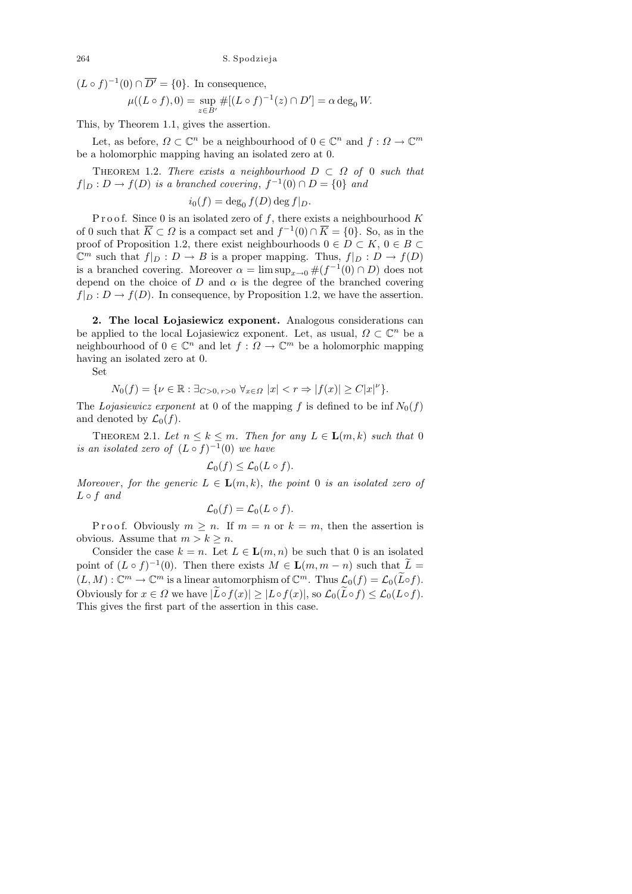$(L \circ f)^{-1}(0) \cap \overline{D'} = \{0\}.$  In consequence,

$$
\mu((L \circ f), 0) = \sup_{z \in B'} \#[(L \circ f)^{-1}(z) \cap D'] = \alpha \deg_0 W.
$$

This, by Theorem 1.1, gives the assertion.

Let, as before,  $\Omega \subset \mathbb{C}^n$  be a neighbourhood of  $0 \in \mathbb{C}^n$  and  $f: \Omega \to \mathbb{C}^m$ be a holomorphic mapping having an isolated zero at 0.

THEOREM 1.2. There exists a neighbourhood  $D \subset \Omega$  of 0 such that  $f|_D: D \to f(D)$  is a branched covering,  $f^{-1}(0) \cap D = \{0\}$  and

$$
i_0(f) = \deg_0 f(D) \deg f|_D.
$$

P r o o f. Since 0 is an isolated zero of f, there exists a neighbourhood  $K$ of 0 such that  $\overline{K} \subset \Omega$  is a compact set and  $f^{-1}(0) \cap \overline{K} = \{0\}$ . So, as in the proof of Proposition 1.2, there exist neighbourhoods  $0 \in D \subset K$ ,  $0 \in B \subset$  $\mathbb{C}^m$  such that  $f|_D : D \to B$  is a proper mapping. Thus,  $f|_D : D \to f(D)$ is a branched covering. Moreover  $\alpha = \limsup_{x\to 0} \#(f^{-1}(0) \cap D)$  does not depend on the choice of D and  $\alpha$  is the degree of the branched covering  $f|_D : D \to f(D)$ . In consequence, by Proposition 1.2, we have the assertion.

2. The local Lojasiewicz exponent. Analogous considerations can be applied to the local Lojasiewicz exponent. Let, as usual,  $\Omega \subset \mathbb{C}^n$  be a neighbourhood of  $0 \in \mathbb{C}^n$  and let  $f: \Omega \to \mathbb{C}^m$  be a holomorphic mapping having an isolated zero at 0.

Set

$$
N_0(f) = \{ \nu \in \mathbb{R} : \exists_{C > 0, r > 0} \ \forall_{x \in \Omega} \ |x| < r \Rightarrow |f(x)| \ge C|x|^{\nu} \}.
$$

The Lojasiewicz exponent at 0 of the mapping f is defined to be inf  $N_0(f)$ and denoted by  $\mathcal{L}_0(f)$ .

THEOREM 2.1. Let  $n \leq k \leq m$ . Then for any  $L \in \mathbf{L}(m, k)$  such that 0 is an isolated zero of  $(L \circ f)^{-1}(0)$  we have

$$
\mathcal{L}_0(f) \leq \mathcal{L}_0(L \circ f).
$$

Moreover, for the generic  $L \in \mathbf{L}(m,k)$ , the point 0 is an isolated zero of  $L \circ f$  and

$$
\mathcal{L}_0(f) = \mathcal{L}_0(L \circ f).
$$

P roof. Obviously  $m \geq n$ . If  $m = n$  or  $k = m$ , then the assertion is obvious. Assume that  $m > k \geq n$ .

Consider the case  $k = n$ . Let  $L \in L(m, n)$  be such that 0 is an isolated point of  $(L \circ f)^{-1}(0)$ . Then there exists  $M \in \mathbf{L}(m, m-n)$  such that  $\widetilde{L} =$  $(L, M) : \mathbb{C}^m \to \mathbb{C}^m$  is a linear automorphism of  $\mathbb{C}^m$ . Thus  $\mathcal{L}_0(f) = \mathcal{L}_0(\tilde{L} \circ f)$ . Obviously for  $x \in \Omega$  we have  $|\widetilde{L} \circ f(x)| \geq |L \circ f(x)|$ , so  $\mathcal{L}_0(\widetilde{L} \circ f) \leq \mathcal{L}_0(L \circ f)$ . This gives the first part of the assertion in this case.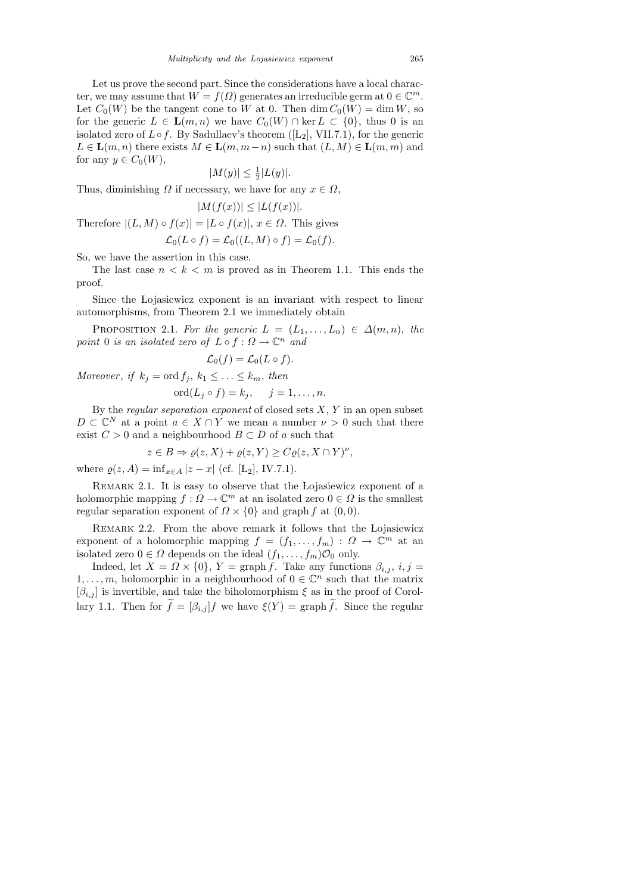Let us prove the second part. Since the considerations have a local character, we may assume that  $W = f(\Omega)$  generates an irreducible germ at  $0 \in \mathbb{C}^m$ . Let  $C_0(W)$  be the tangent cone to W at 0. Then  $\dim C_0(W) = \dim W$ , so for the generic  $L \in \mathbf{L}(m,n)$  we have  $C_0(W) \cap \text{ker } L \subset \{0\}$ , thus 0 is an isolated zero of  $L \circ f$ . By Sadullaev's theorem ([L<sub>2</sub>], VII.7.1), for the generic  $L \in \mathbf{L}(m, n)$  there exists  $M \in \mathbf{L}(m, m-n)$  such that  $(L, M) \in \mathbf{L}(m, m)$  and for any  $y \in C_0(W)$ ,

$$
|M(y)| \le \frac{1}{2}|L(y)|.
$$

Thus, diminishing  $\Omega$  if necessary, we have for any  $x \in \Omega$ ,

$$
|M(f(x))| \le |L(f(x))|.
$$

Therefore  $|(L, M) \circ f(x)| = |L \circ f(x)|$ ,  $x \in \Omega$ . This gives

$$
\mathcal{L}_0(L \circ f) = \mathcal{L}_0((L, M) \circ f) = \mathcal{L}_0(f).
$$

So, we have the assertion in this case.

The last case  $n < k < m$  is proved as in Theorem 1.1. This ends the proof.

Since the Lojasiewicz exponent is an invariant with respect to linear automorphisms, from Theorem 2.1 we immediately obtain

PROPOSITION 2.1. For the generic  $L = (L_1, \ldots, L_n) \in \Delta(m, n)$ , the point 0 is an isolated zero of  $L \circ f : \Omega \to \mathbb{C}^n$  and

$$
\mathcal{L}_0(f) = \mathcal{L}_0(L \circ f).
$$

Moreover, if  $k_j = \text{ord } f_j, k_1 \leq \ldots \leq k_m$ , then

$$
ord(L_j \circ f) = k_j, \quad j = 1, \dots, n.
$$

By the *regular separation exponent* of closed sets  $X, Y$  in an open subset  $D \subset \mathbb{C}^N$  at a point  $a \in X \cap Y$  we mean a number  $\nu > 0$  such that there exist  $C > 0$  and a neighbourhood  $B \subset D$  of a such that

$$
z \in B \Rightarrow \varrho(z, X) + \varrho(z, Y) \ge C\varrho(z, X \cap Y)^{\nu},
$$

where  $\rho(z, A) = \inf_{x \in A} |z - x|$  (cf. [Ł<sub>2</sub>], IV.7.1).

Remark 2.1. It is easy to observe that the Lojasiewicz exponent of a holomorphic mapping  $f: \Omega \to \mathbb{C}^m$  at an isolated zero  $0 \in \Omega$  is the smallest regular separation exponent of  $\Omega \times \{0\}$  and graph f at  $(0, 0)$ .

Remark 2.2. From the above remark it follows that the Lojasiewicz exponent of a holomorphic mapping  $f = (f_1, \ldots, f_m) : \Omega \to \mathbb{C}^m$  at an isolated zero  $0 \in \Omega$  depends on the ideal  $(f_1, \ldots, f_m) \mathcal{O}_0$  only.

Indeed, let  $X = \Omega \times \{0\}$ ,  $Y = \text{graph } f$ . Take any functions  $\beta_{i,j}, i, j =$  $1, \ldots, m$ , holomorphic in a neighbourhood of  $0 \in \mathbb{C}^n$  such that the matrix  $[\beta_{i,j}]$  is invertible, and take the biholomorphism  $\xi$  as in the proof of Corollary 1.1. Then for  $f = [\beta_{i,j}]f$  we have  $\xi(Y) = \text{graph } f$ . Since the regular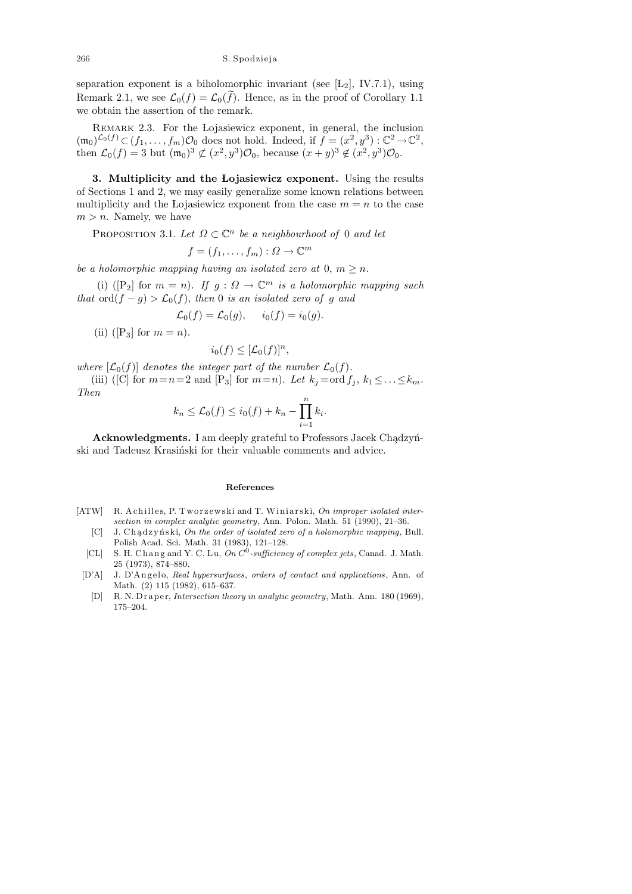separation exponent is a biholomorphic invariant (see  $[L_2]$ , IV.7.1), using Remark 2.1, we see  $\mathcal{L}_0(f) = \mathcal{L}_0(f)$ . Hence, as in the proof of Corollary 1.1 we obtain the assertion of the remark.

REMARK 2.3. For the Lojasiewicz exponent, in general, the inclusion  $(\mathfrak{m}_0)^{\mathcal{L}_0(f)} \subset (f_1,\ldots,f_m)\mathcal{O}_0$  does not hold. Indeed, if  $f = (x^2,y^3) : \mathbb{C}^2 \to \mathbb{C}^2$ , then  $\mathcal{L}_0(f) = 3$  but  $(\mathfrak{m}_0)^3 \not\subset (x^2, y^3) \mathcal{O}_0$ , because  $(x+y)^3 \not\in (x^2, y^3) \mathcal{O}_0$ .

3. Multiplicity and the Lojasiewicz exponent. Using the results of Sections 1 and 2, we may easily generalize some known relations between multiplicity and the Lojasiewicz exponent from the case  $m = n$  to the case  $m > n$ . Namely, we have

PROPOSITION 3.1. Let  $\Omega \subset \mathbb{C}^n$  be a neighbourhood of 0 and let

$$
f = (f_1, \ldots, f_m) : \Omega \to \mathbb{C}^m
$$

be a holomorphic mapping having an isolated zero at 0,  $m \geq n$ .

(i) ([P<sub>2</sub>] for  $m = n$ ). If  $g: \Omega \to \mathbb{C}^m$  is a holomorphic mapping such that  $\text{ord}(f - g) > \mathcal{L}_0(f)$ , then 0 is an isolated zero of g and

 $\mathcal{L}_0(f) = \mathcal{L}_0(g), \quad i_0(f) = i_0(g).$ 

(ii) ([P<sub>3</sub>] for  $m = n$ ).

$$
i_0(f) \leq [\mathcal{L}_0(f)]^n
$$

,

where  $[\mathcal{L}_0(f)]$  denotes the integer part of the number  $\mathcal{L}_0(f)$ .

(iii) ([C] for  $m=n=2$  and  $[P_3]$  for  $m=n$ ). Let  $k_j = \text{ord } f_j, k_1 \leq \ldots \leq k_m$ . Then

$$
k_n \leq \mathcal{L}_0(f) \leq i_0(f) + k_n - \prod_{i=1}^n k_i.
$$

Acknowledgments. I am deeply grateful to Professors Jacek Chadzynski and Tadeusz Krasiński for their valuable comments and advice.

## **References**

- [ATW] R. Achilles, P. Tworzewski and T. Winiarski, *On improper isolated intersection in complex analytic geometry*, Ann. Polon. Math. 51 (1990), 21–36.
	- [C] J. Chądzyński, *On the order of isolated zero of a holomorphic mapping*, Bull. Polish Acad. Sci. Math. 31 (1983), 121–128.
	- [CL] S. H. Chang and Y. C. Lu, On  $C^0$ -sufficiency of complex jets, Canad. J. Math. 25 (1973), 874–880.
	- [D'A] J. D'Angelo, *Real hypersurfaces*, *orders of contact and applications*, Ann. of Math. (2) 115 (1982), 615–637.
		- [D] R. N. Draper, *Intersection theory in analytic geometry*, Math. Ann. 180 (1969), 175–204.